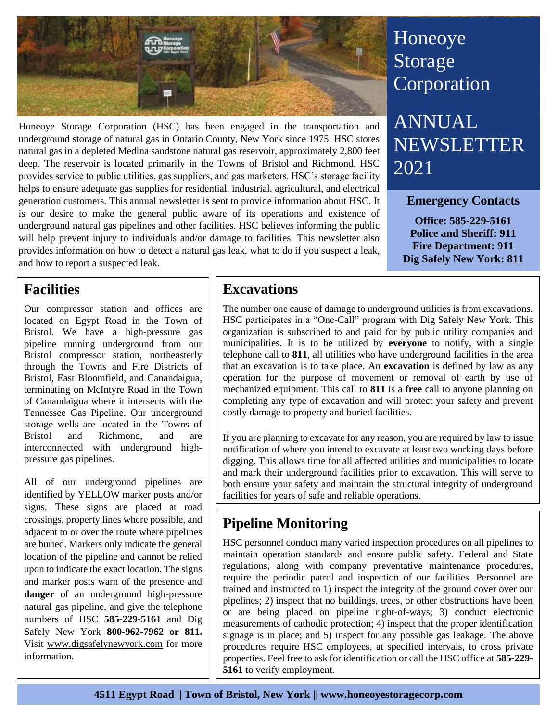

Honeoye Storage Corporation (HSC) has been engaged in the transportation and underground storage of natural gas in Ontario County, New York since 1975. HSC stores natural gas in a depleted Medina sandstone natural gas reservoir, approximately 2,800 feet deep. The reservoir is located primarily in the Towns of Bristol and Richmond. HSC provides service to public utilities, gas suppliers, and gas marketers. HSC's storage facility helps to ensure adequate gas supplies for residential, industrial, agricultural, and electrical generation customers. This annual newsletter is sent to provide information about HSC. It is our desire to make the general public aware of its operations and existence of underground natural gas pipelines and other facilities. HSC believes informing the public will help prevent injury to individuals and/or damage to facilities. This newsletter also provides information on how to detect a natural gas leak, what to do if you suspect a leak, and how to report a suspected leak.

# Honeoye Storage **Corporation**

ANNUAL NEWSLETTER 2021

### **Emergency Contacts**

**Office: 585-229-5161 Police and Sheriff: 911 Fire Department: 911 Dig Safely New York: 811**

### **Facilities**

Our compressor station and offices are located on Egypt Road in the Town of Bristol. We have a high-pressure gas pipeline running underground from our Bristol compressor station, northeasterly through the Towns and Fire Districts of Bristol, East Bloomfield, and Canandaigua, terminating on McIntyre Road in the Town of Canandaigua where it intersects with the Tennessee Gas Pipeline. Our underground storage wells are located in the Towns of Bristol and Richmond, and are interconnected with underground highpressure gas pipelines.

All of our underground pipelines are identified by YELLOW marker posts and/or signs. These signs are placed at road crossings, property lines where possible, and adjacent to or over the route where pipelines are buried. Markers only indicate the general location of the pipeline and cannot be relied upon to indicate the exact location. The signs and marker posts warn of the presence and **danger** of an underground high-pressure natural gas pipeline, and give the telephone numbers of HSC **585-229-5161** and Dig Safely New York **800-962-7962 or 811.**  Visit [www.digsafelynewyork.com](http://www.digsafelynewyork.com/) for more information.

### **Excavations**

The number one cause of damage to underground utilities is from excavations. HSC participates in a "One-Call" program with Dig Safely New York. This organization is subscribed to and paid for by public utility companies and municipalities. It is to be utilized by **everyone** to notify, with a single telephone call to **811**, all utilities who have underground facilities in the area that an excavation is to take place. An **excavation** is defined by law as any operation for the purpose of movement or removal of earth by use of mechanized equipment. This call to **811** is a **free** call to anyone planning on completing any type of excavation and will protect your safety and prevent costly damage to property and buried facilities.

If you are planning to excavate for any reason, you are required by law to issue notification of where you intend to excavate at least two working days before digging. This allows time for all affected utilities and municipalities to locate and mark their underground facilities prior to excavation. This will serve to both ensure your safety and maintain the structural integrity of underground facilities for years of safe and reliable operations.

## **Pipeline Monitoring**

HSC personnel conduct many varied inspection procedures on all pipelines to maintain operation standards and ensure public safety. Federal and State regulations, along with company preventative maintenance procedures, require the periodic patrol and inspection of our facilities. Personnel are trained and instructed to 1) inspect the integrity of the ground cover over our pipelines; 2) inspect that no buildings, trees, or other obstructions have been or are being placed on pipeline right-of-ways; 3) conduct electronic measurements of cathodic protection; 4) inspect that the proper identification signage is in place; and 5) inspect for any possible gas leakage. The above procedures require HSC employees, at specified intervals, to cross private properties. Feel free to ask for identification or call the HSC office at **585-229- 5161** to verify employment.